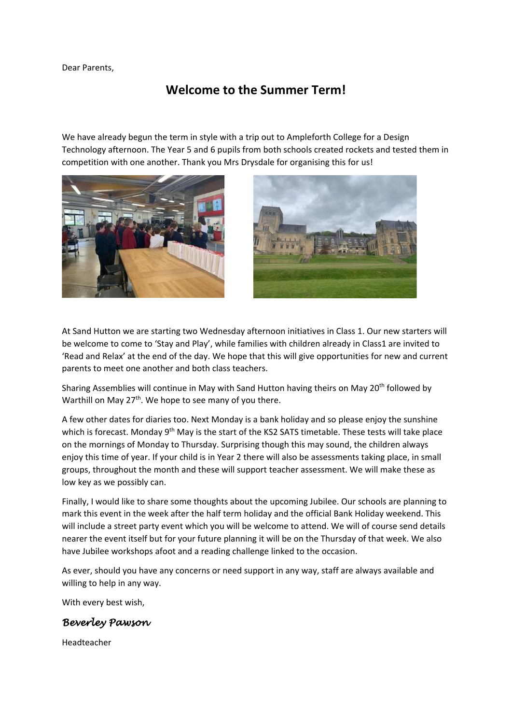Dear Parents,

## **Welcome to the Summer Term!**

We have already begun the term in style with a trip out to Ampleforth College for a Design Technology afternoon. The Year 5 and 6 pupils from both schools created rockets and tested them in competition with one another. Thank you Mrs Drysdale for organising this for us!





At Sand Hutton we are starting two Wednesday afternoon initiatives in Class 1. Our new starters will be welcome to come to 'Stay and Play', while families with children already in Class1 are invited to 'Read and Relax' at the end of the day. We hope that this will give opportunities for new and current parents to meet one another and both class teachers.

Sharing Assemblies will continue in May with Sand Hutton having theirs on May 20<sup>th</sup> followed by Warthill on May  $27<sup>th</sup>$ . We hope to see many of you there.

A few other dates for diaries too. Next Monday is a bank holiday and so please enjoy the sunshine which is forecast. Monday 9<sup>th</sup> May is the start of the KS2 SATS timetable. These tests will take place on the mornings of Monday to Thursday. Surprising though this may sound, the children always enjoy this time of year. If your child is in Year 2 there will also be assessments taking place, in small groups, throughout the month and these will support teacher assessment. We will make these as low key as we possibly can.

Finally, I would like to share some thoughts about the upcoming Jubilee. Our schools are planning to mark this event in the week after the half term holiday and the official Bank Holiday weekend. This will include a street party event which you will be welcome to attend. We will of course send details nearer the event itself but for your future planning it will be on the Thursday of that week. We also have Jubilee workshops afoot and a reading challenge linked to the occasion.

As ever, should you have any concerns or need support in any way, staff are always available and willing to help in any way.

With every best wish,

## *Beverley Pawson*

Headteacher